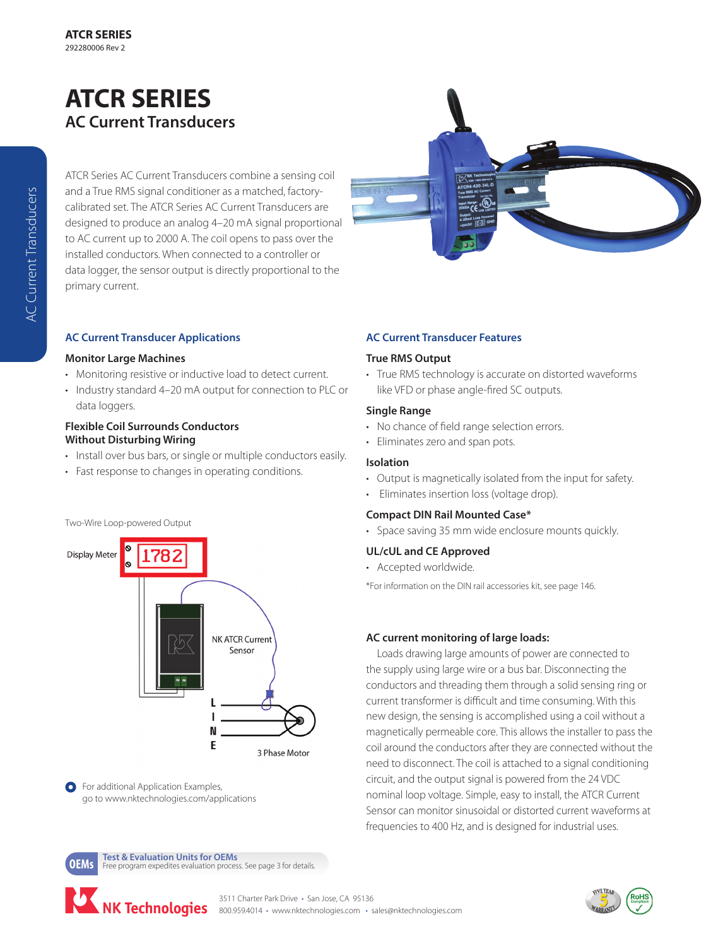# **ATCR SERIES AC Current Transducers**

ATCR Series AC Current Transducers combine a sensing coil and a True RMS signal conditioner as a matched, factorycalibrated set. The ATCR Series AC Current Transducers are designed to produce an analog 4–20 mA signal proportional to AC current up to 2000 A. The coil opens to pass over the installed conductors. When connected to a controller or data logger, the sensor output is directly proportional to the primary current.

### **AC Current Transducer Applications**

#### **Monitor Large Machines**

- Monitoring resistive or inductive load to detect current.
- Industry standard 4–20 mA output for connection to PLC or data loggers.

#### **Flexible Coil Surrounds Conductors Without Disturbing Wiring**

- Install over bus bars, or single or multiple conductors easily.
- Fast response to changes in operating conditions.

#### Two-Wire Loop-powered Output



**O** For additional Application Examples, go to www.nktechnologies.com/applications

## **AC Current Transducer Features**

#### **True RMS Output**

• True RMS technology is accurate on distorted waveforms like VFD or phase angle-fired SC outputs.

#### **Single Range**

- No chance of field range selection errors.
- Eliminates zero and span pots.

#### **Isolation**

- Output is magnetically isolated from the input for safety.
- Eliminates insertion loss (voltage drop).

#### **Compact DIN Rail Mounted Case\***

• Space saving 35 mm wide enclosure mounts quickly.

#### **UL/cUL and CE Approved**

• Accepted worldwide.

\*For information on the DIN rail accessories kit, see page 146.

## **AC current monitoring of large loads:**

Loads drawing large amounts of power are connected to the supply using large wire or a bus bar. Disconnecting the conductors and threading them through a solid sensing ring or current transformer is difficult and time consuming. With this new design, the sensing is accomplished using a coil without a magnetically permeable core. This allows the installer to pass the coil around the conductors after they are connected without the need to disconnect. The coil is attached to a signal conditioning circuit, and the output signal is powered from the 24 VDC nominal loop voltage. Simple, easy to install, the ATCR Current Sensor can monitor sinusoidal or distorted current waveforms at frequencies to 400 Hz, and is designed for industrial uses.

**OEMs Test & Evaluation Units for OEMs**<br>**OEMS** Free program expedites evaluation process. See page 3 for details.